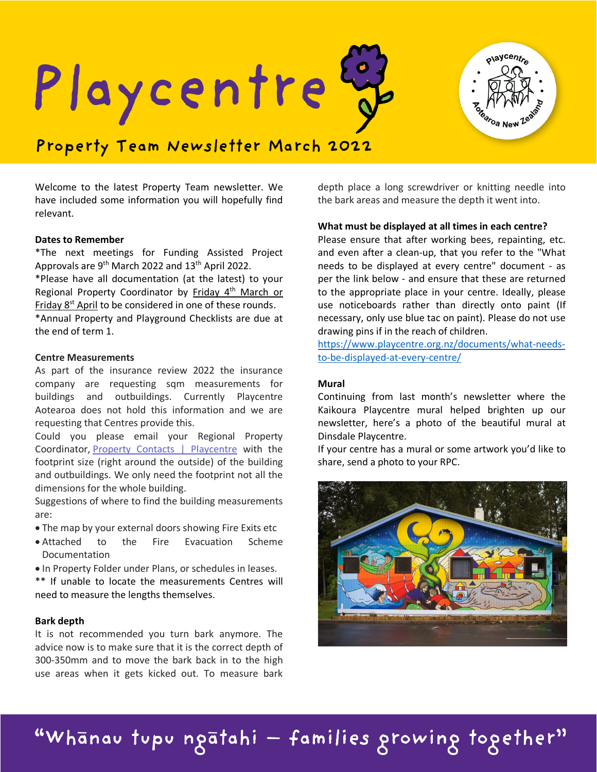Playcentre



# **Property Team Newsletter March 2022**

Welcome to the latest Property Team newsletter. We have included some information you will hopefully find relevant.

#### **Dates to Remember**

\*The next meetings for Funding Assisted Project Approvals are 9<sup>th</sup> March 2022 and 13<sup>th</sup> April 2022. \*Please have all documentation (at the latest) to your Regional Property Coordinator by Friday 4<sup>th</sup> March or Friday 8<sup>st</sup> April to be considered in one of these rounds. \*Annual Property and Playground Checklists are due at the end of term 1.

#### **Centre Measurements**

As part of the insurance review 2022 the insurance company are requesting sqm measurements for buildings and outbuildings. Currently Playcentre Aotearoa does not hold this information and we are requesting that Centres provide this.

Could you please email your Regional Property Coordinator, [Property Contacts | Playcentre](https://www.playcentre.org.nz/learnwithus/property/property-contacts/) with the footprint size (right around the outside) of the building and outbuildings. We only need the footprint not all the dimensions for the whole building.

Suggestions of where to find the building measurements are:

- The map by your external doors showing Fire Exits etc
- Attached to the Fire Evacuation Scheme Documentation
- In Property Folder under Plans, or schedules in leases.

\*\* If unable to locate the measurements Centres will need to measure the lengths themselves.

# **Bark depth**

It is not recommended you turn bark anymore. The advice now is to make sure that it is the correct depth of 300-350mm and to move the bark back in to the high use areas when it gets kicked out. To measure bark

depth place a long screwdriver or knitting needle into the bark areas and measure the depth it went into.

# **What must be displayed at all times in each centre?**

Please ensure that after working bees, repainting, etc. and even after a clean-up, that you refer to the "What needs to be displayed at every centre" document - as per the link below - and ensure that these are returned to the appropriate place in your centre. Ideally, please use noticeboards rather than directly onto paint (If necessary, only use blue tac on paint). Please do not use drawing pins if in the reach of children.

[https://www.playcentre.org.nz/documents/what-needs](https://www.playcentre.org.nz/documents/what-needs-to-be-displayed-at-every-centre/)[to-be-displayed-at-every-centre/](https://www.playcentre.org.nz/documents/what-needs-to-be-displayed-at-every-centre/)

#### **Mural**

Continuing from last month's newsletter where the Kaikoura Playcentre mural helped brighten up our newsletter, here's a photo of the beautiful mural at Dinsdale Playcentre.

If your centre has a mural or some artwork you'd like to share, send a photo to your RPC.



"Whānau tupu ngātahi — families growing together"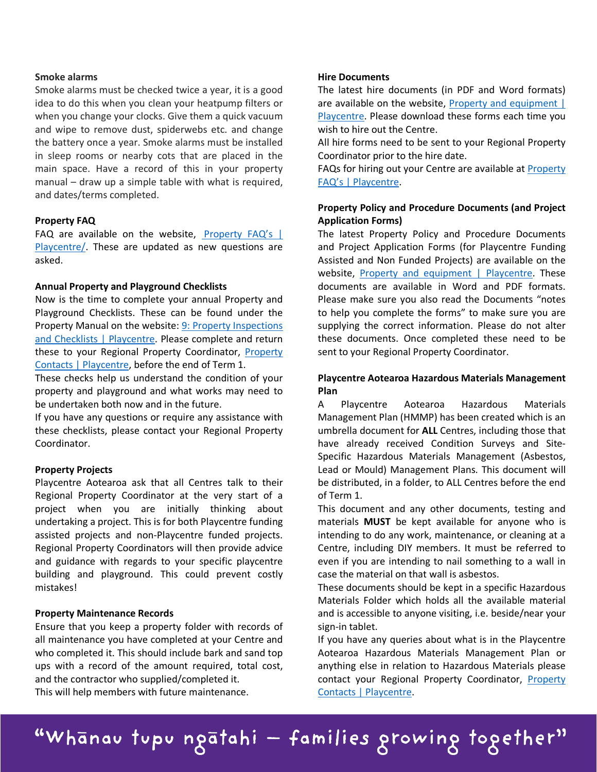#### **Smoke alarms**

Smoke alarms must be checked twice a year, it is a good idea to do this when you clean your heatpump filters or when you change your clocks. Give them a quick vacuum and wipe to remove dust, spiderwebs etc. and change the battery once a year. Smoke alarms must be installed in sleep rooms or nearby cots that are placed in the main space. Have a record of this in your property manual – draw up a simple table with what is required, and dates/terms completed.

# **Property FAQ**

FAQ are available on the website, [Property FAQ's |](https://www.playcentre.org.nz/property-faqs/)  [Playcentre/.](https://www.playcentre.org.nz/property-faqs/) These are updated as new questions are asked.

# **Annual Property and Playground Checklists**

Now is the time to complete your annual Property and Playground Checklists. These can be found under the Property Manual on the website: [9: Property Inspections](https://www.playcentre.org.nz/member/property/property-manual/9-property-inspections-and-checklists/)  [and Checklists | Playcentre.](https://www.playcentre.org.nz/member/property/property-manual/9-property-inspections-and-checklists/) Please complete and return these to your Regional Property Coordinator, [Property](https://www.playcentre.org.nz/learnwithus/property/property-contacts/)  [Contacts | Playcentre,](https://www.playcentre.org.nz/learnwithus/property/property-contacts/) before the end of Term 1.

These checks help us understand the condition of your property and playground and what works may need to be undertaken both now and in the future.

If you have any questions or require any assistance with these checklists, please contact your Regional Property Coordinator.

# **Property Projects**

Playcentre Aotearoa ask that all Centres talk to their Regional Property Coordinator at the very start of a project when you are initially thinking about undertaking a project. This is for both Playcentre funding assisted projects and non-Playcentre funded projects. Regional Property Coordinators will then provide advice and guidance with regards to your specific playcentre building and playground. This could prevent costly mistakes!

# **Property Maintenance Records**

Ensure that you keep a property folder with records of all maintenance you have completed at your Centre and who completed it. This should include bark and sand top ups with a record of the amount required, total cost, and the contractor who supplied/completed it. This will help members with future maintenance.

#### **Hire Documents**

The latest hire documents (in PDF and Word formats) are available on the website, **Property and equipment** | [Playcentre.](https://www.playcentre.org.nz/policiesandprocedures/categories/property-and-equipment/) Please download these forms each time you wish to hire out the Centre.

All hire forms need to be sent to your Regional Property Coordinator prior to the hire date.

FAQs for hiring out your Centre are available at [Property](https://www.playcentre.org.nz/property-faqs/)  [FAQ's | Playcentre.](https://www.playcentre.org.nz/property-faqs/)

# **Property Policy and Procedure Documents (and Project Application Forms)**

The latest Property Policy and Procedure Documents and Project Application Forms (for Playcentre Funding Assisted and Non Funded Projects) are available on the website, [Property and equipment | Playcentre.](https://www.playcentre.org.nz/policiesandprocedures/categories/property-and-equipment/) These documents are available in Word and PDF formats. Please make sure you also read the Documents "notes to help you complete the forms" to make sure you are supplying the correct information. Please do not alter these documents. Once completed these need to be sent to your Regional Property Coordinator.

# **Playcentre Aotearoa Hazardous Materials Management Plan**

A Playcentre Aotearoa Hazardous Materials Management Plan (HMMP) has been created which is an umbrella document for **ALL** Centres, including those that have already received Condition Surveys and Site-Specific Hazardous Materials Management (Asbestos, Lead or Mould) Management Plans. This document will be distributed, in a folder, to ALL Centres before the end of Term 1.

This document and any other documents, testing and materials **MUST** be kept available for anyone who is intending to do any work, maintenance, or cleaning at a Centre, including DIY members. It must be referred to even if you are intending to nail something to a wall in case the material on that wall is asbestos.

These documents should be kept in a specific Hazardous Materials Folder which holds all the available material and is accessible to anyone visiting, i.e. beside/near your sign-in tablet.

If you have any queries about what is in the Playcentre Aotearoa Hazardous Materials Management Plan or anything else in relation to Hazardous Materials please contact your Regional [Property](https://www.playcentre.org.nz/learnwithus/property/property-contacts/) Coordinator, **Property** [Contacts | Playcentre.](https://www.playcentre.org.nz/learnwithus/property/property-contacts/)

"Whānau tupu ngātahi — families growing together"